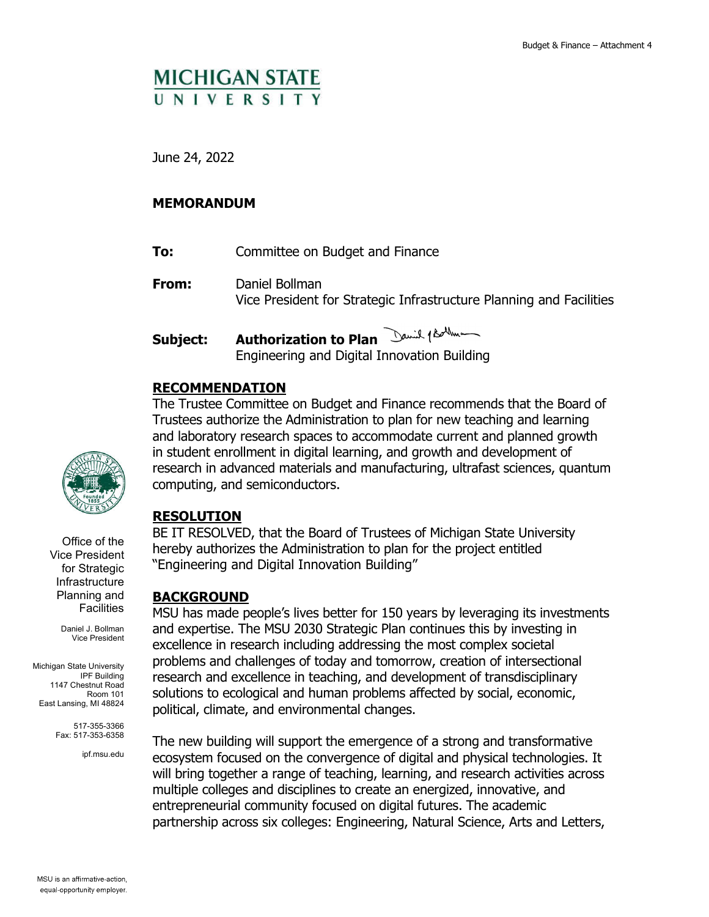# **MICHIGAN STATE** UNIVERSITY

June 24, 2022

### **MEMORANDUM**

- **To:** Committee on Budget and Finance
- **From:** Daniel Bollman Vice President for Strategic Infrastructure Planning and Facilities

## **Subject: Authorization to Plan**  Engineering and Digital Innovation Building

## **RECOMMENDATION**

The Trustee Committee on Budget and Finance recommends that the Board of Trustees authorize the Administration to plan for new teaching and learning and laboratory research spaces to accommodate current and planned growth in student enrollment in digital learning, and growth and development of research in advanced materials and manufacturing, ultrafast sciences, quantum computing, and semiconductors.

## **RESOLUTION**

BE IT RESOLVED, that the Board of Trustees of Michigan State University hereby authorizes the Administration to plan for the project entitled "Engineering and Digital Innovation Building"

## **BACKGROUND**

MSU has made people's lives better for 150 years by leveraging its investments and expertise. The MSU 2030 Strategic Plan continues this by investing in excellence in research including addressing the most complex societal problems and challenges of today and tomorrow, creation of intersectional research and excellence in teaching, and development of transdisciplinary solutions to ecological and human problems affected by social, economic, political, climate, and environmental changes.

The new building will support the emergence of a strong and transformative ecosystem focused on the convergence of digital and physical technologies. It will bring together a range of teaching, learning, and research activities across multiple colleges and disciplines to create an energized, innovative, and entrepreneurial community focused on digital futures. The academic partnership across six colleges: Engineering, Natural Science, Arts and Letters,



Office of the Vice President for Strategic Infrastructure Planning and **Facilities** 

> Daniel J. Bollman Vice President

Michigan State University IPF Building 1147 Chestnut Road Room 101 East Lansing, MI 48824

> 517-355-3366 Fax: 517-353-6358

> > ipf.msu.edu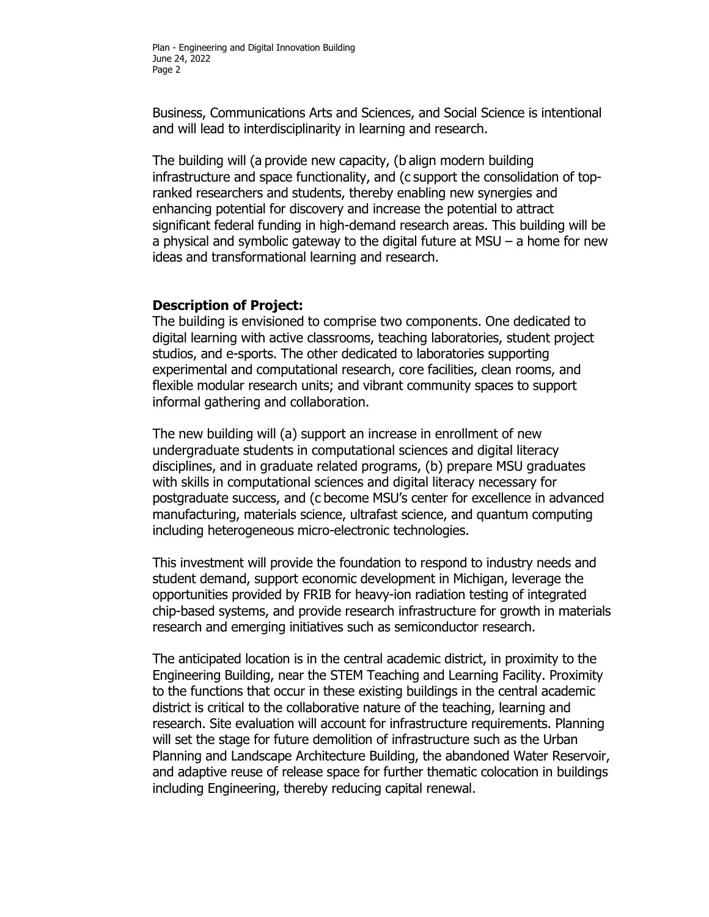Business, Communications Arts and Sciences, and Social Science is intentional and will lead to interdisciplinarity in learning and research.

The building will (a provide new capacity, (b align modern building infrastructure and space functionality, and (c support the consolidation of topranked researchers and students, thereby enabling new synergies and enhancing potential for discovery and increase the potential to attract significant federal funding in high-demand research areas. This building will be a physical and symbolic gateway to the digital future at  $MSU - a$  home for new ideas and transformational learning and research.

### **Description of Project:**

The building is envisioned to comprise two components. One dedicated to digital learning with active classrooms, teaching laboratories, student project studios, and e-sports. The other dedicated to laboratories supporting experimental and computational research, core facilities, clean rooms, and flexible modular research units; and vibrant community spaces to support informal gathering and collaboration.

The new building will (a) support an increase in enrollment of new undergraduate students in computational sciences and digital literacy disciplines, and in graduate related programs, (b) prepare MSU graduates with skills in computational sciences and digital literacy necessary for postgraduate success, and (c become MSU's center for excellence in advanced manufacturing, materials science, ultrafast science, and quantum computing including heterogeneous micro-electronic technologies.

This investment will provide the foundation to respond to industry needs and student demand, support economic development in Michigan, leverage the opportunities provided by FRIB for heavy-ion radiation testing of integrated chip-based systems, and provide research infrastructure for growth in materials research and emerging initiatives such as semiconductor research.

The anticipated location is in the central academic district, in proximity to the Engineering Building, near the STEM Teaching and Learning Facility. Proximity to the functions that occur in these existing buildings in the central academic district is critical to the collaborative nature of the teaching, learning and research. Site evaluation will account for infrastructure requirements. Planning will set the stage for future demolition of infrastructure such as the Urban Planning and Landscape Architecture Building, the abandoned Water Reservoir, and adaptive reuse of release space for further thematic colocation in buildings including Engineering, thereby reducing capital renewal.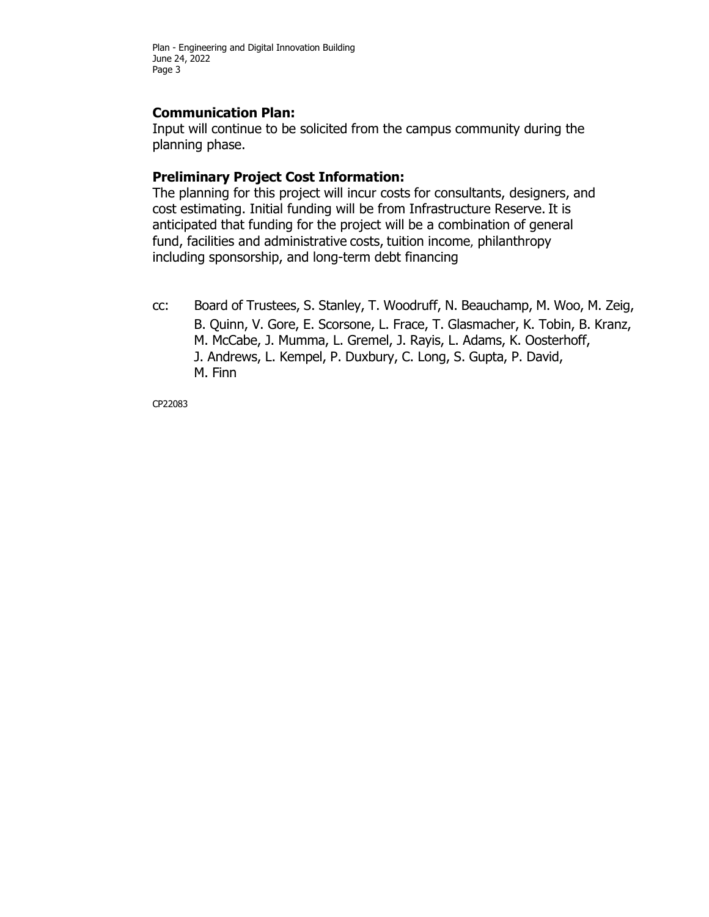Plan - Engineering and Digital Innovation Building June 24, 2022 Page 3

## **Communication Plan:**

Input will continue to be solicited from the campus community during the planning phase.

### **Preliminary Project Cost Information:**

The planning for this project will incur costs for consultants, designers, and cost estimating. Initial funding will be from Infrastructure Reserve. It is anticipated that funding for the project will be a combination of general fund, facilities and administrative costs, tuition income, philanthropy including sponsorship, and long-term debt financing

cc: Board of Trustees, S. Stanley, T. Woodruff, N. Beauchamp, M. Woo, M. Zeig, B. Quinn, V. Gore, E. Scorsone, L. Frace, T. Glasmacher, K. Tobin, B. Kranz, M. McCabe, J. Mumma, L. Gremel, J. Rayis, L. Adams, K. Oosterhoff, J. Andrews, L. Kempel, P. Duxbury, C. Long, S. Gupta, P. David, M. Finn

CP22083